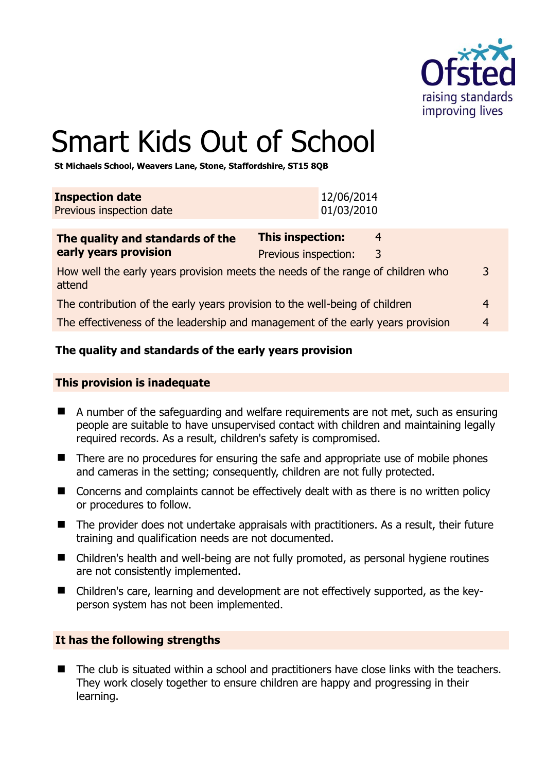

# Smart Kids Out of School

**St Michaels School, Weavers Lane, Stone, Staffordshire, ST15 8QB** 

| <b>Inspection date</b>   | 12/06/2014 |
|--------------------------|------------|
| Previous inspection date | 01/03/2010 |
|                          |            |

| The quality and standards of the                                                          | <b>This inspection:</b> | 4 |                |
|-------------------------------------------------------------------------------------------|-------------------------|---|----------------|
| early years provision                                                                     | Previous inspection:    | 3 |                |
| How well the early years provision meets the needs of the range of children who<br>attend |                         |   | 3              |
| The contribution of the early years provision to the well-being of children               |                         |   |                |
| The effectiveness of the leadership and management of the early years provision           |                         |   | $\overline{4}$ |

# **The quality and standards of the early years provision**

#### **This provision is inadequate**

- A number of the safeguarding and welfare requirements are not met, such as ensuring people are suitable to have unsupervised contact with children and maintaining legally required records. As a result, children's safety is compromised.
- There are no procedures for ensuring the safe and appropriate use of mobile phones and cameras in the setting; consequently, children are not fully protected.
- Concerns and complaints cannot be effectively dealt with as there is no written policy or procedures to follow.
- The provider does not undertake appraisals with practitioners. As a result, their future training and qualification needs are not documented.
- Children's health and well-being are not fully promoted, as personal hygiene routines are not consistently implemented.
- Children's care, learning and development are not effectively supported, as the keyperson system has not been implemented.

### **It has the following strengths**

 The club is situated within a school and practitioners have close links with the teachers. They work closely together to ensure children are happy and progressing in their learning.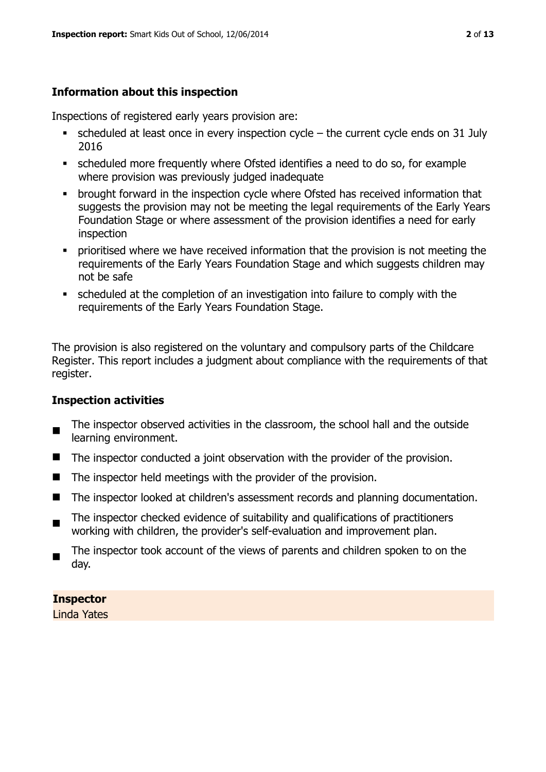# **Information about this inspection**

Inspections of registered early years provision are:

- $\bullet$  scheduled at least once in every inspection cycle the current cycle ends on 31 July 2016
- scheduled more frequently where Ofsted identifies a need to do so, for example where provision was previously judged inadequate
- **•** brought forward in the inspection cycle where Ofsted has received information that suggests the provision may not be meeting the legal requirements of the Early Years Foundation Stage or where assessment of the provision identifies a need for early inspection
- **•** prioritised where we have received information that the provision is not meeting the requirements of the Early Years Foundation Stage and which suggests children may not be safe
- scheduled at the completion of an investigation into failure to comply with the requirements of the Early Years Foundation Stage.

The provision is also registered on the voluntary and compulsory parts of the Childcare Register. This report includes a judgment about compliance with the requirements of that register.

### **Inspection activities**

- п The inspector observed activities in the classroom, the school hall and the outside learning environment.
- The inspector conducted a joint observation with the provider of the provision.
- The inspector held meetings with the provider of the provision.
- The inspector looked at children's assessment records and planning documentation.
- $\blacksquare$ The inspector checked evidence of suitability and qualifications of practitioners working with children, the provider's self-evaluation and improvement plan.
- The inspector took account of the views of parents and children spoken to on the day.

**Inspector**  Linda Yates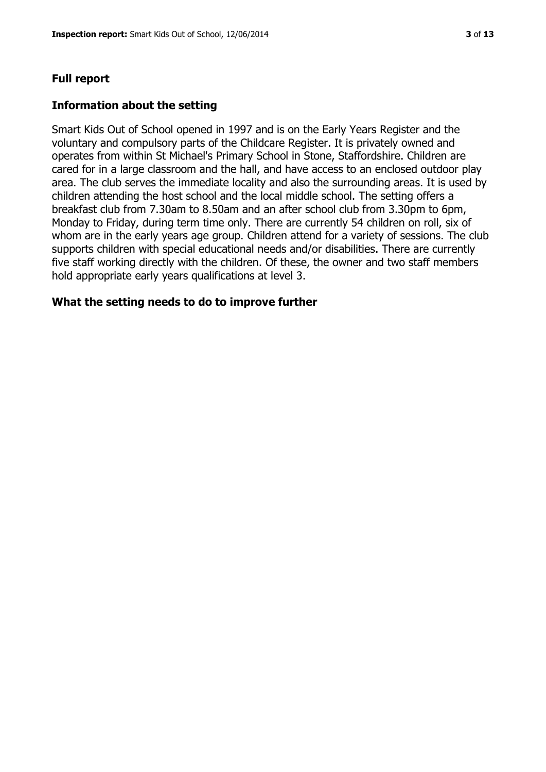# **Full report**

#### **Information about the setting**

Smart Kids Out of School opened in 1997 and is on the Early Years Register and the voluntary and compulsory parts of the Childcare Register. It is privately owned and operates from within St Michael's Primary School in Stone, Staffordshire. Children are cared for in a large classroom and the hall, and have access to an enclosed outdoor play area. The club serves the immediate locality and also the surrounding areas. It is used by children attending the host school and the local middle school. The setting offers a breakfast club from 7.30am to 8.50am and an after school club from 3.30pm to 6pm, Monday to Friday, during term time only. There are currently 54 children on roll, six of whom are in the early years age group. Children attend for a variety of sessions. The club supports children with special educational needs and/or disabilities. There are currently five staff working directly with the children. Of these, the owner and two staff members hold appropriate early years qualifications at level 3.

#### **What the setting needs to do to improve further**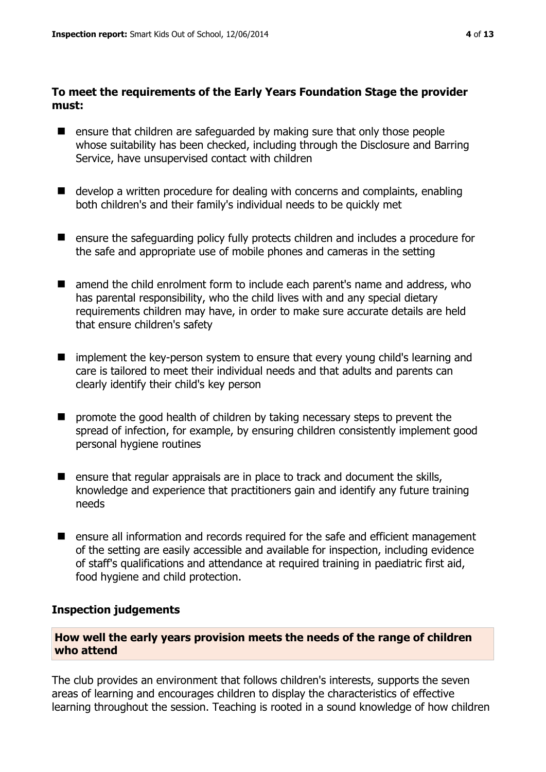#### **To meet the requirements of the Early Years Foundation Stage the provider must:**

- **E** ensure that children are safeguarded by making sure that only those people whose suitability has been checked, including through the Disclosure and Barring Service, have unsupervised contact with children
- develop a written procedure for dealing with concerns and complaints, enabling both children's and their family's individual needs to be quickly met
- ensure the safeguarding policy fully protects children and includes a procedure for the safe and appropriate use of mobile phones and cameras in the setting
- amend the child enrolment form to include each parent's name and address, who has parental responsibility, who the child lives with and any special dietary requirements children may have, in order to make sure accurate details are held that ensure children's safety
- **If** implement the key-person system to ensure that every young child's learning and care is tailored to meet their individual needs and that adults and parents can clearly identify their child's key person
- **P** promote the good health of children by taking necessary steps to prevent the spread of infection, for example, by ensuring children consistently implement good personal hygiene routines
- $\blacksquare$  ensure that regular appraisals are in place to track and document the skills, knowledge and experience that practitioners gain and identify any future training needs
- **E** ensure all information and records required for the safe and efficient management of the setting are easily accessible and available for inspection, including evidence of staff's qualifications and attendance at required training in paediatric first aid, food hygiene and child protection.

### **Inspection judgements**

# **How well the early years provision meets the needs of the range of children who attend**

The club provides an environment that follows children's interests, supports the seven areas of learning and encourages children to display the characteristics of effective learning throughout the session. Teaching is rooted in a sound knowledge of how children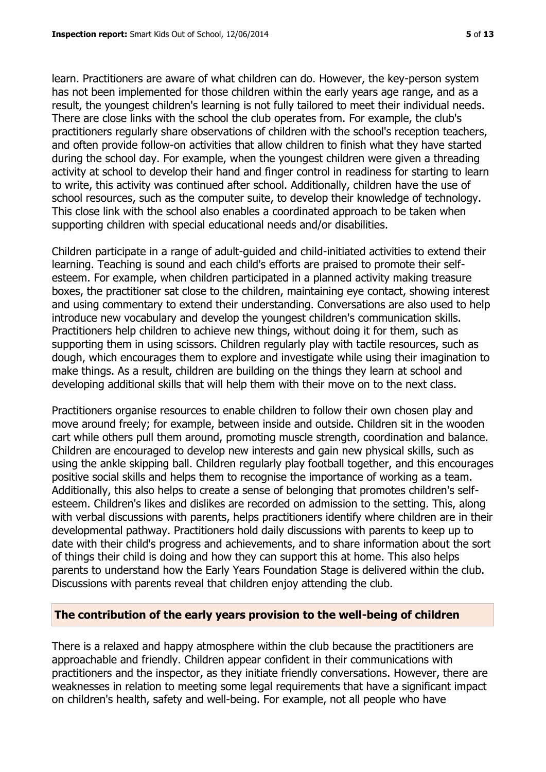learn. Practitioners are aware of what children can do. However, the key-person system has not been implemented for those children within the early years age range, and as a result, the youngest children's learning is not fully tailored to meet their individual needs. There are close links with the school the club operates from. For example, the club's practitioners regularly share observations of children with the school's reception teachers, and often provide follow-on activities that allow children to finish what they have started during the school day. For example, when the youngest children were given a threading activity at school to develop their hand and finger control in readiness for starting to learn to write, this activity was continued after school. Additionally, children have the use of school resources, such as the computer suite, to develop their knowledge of technology. This close link with the school also enables a coordinated approach to be taken when supporting children with special educational needs and/or disabilities.

Children participate in a range of adult-guided and child-initiated activities to extend their learning. Teaching is sound and each child's efforts are praised to promote their selfesteem. For example, when children participated in a planned activity making treasure boxes, the practitioner sat close to the children, maintaining eye contact, showing interest and using commentary to extend their understanding. Conversations are also used to help introduce new vocabulary and develop the youngest children's communication skills. Practitioners help children to achieve new things, without doing it for them, such as supporting them in using scissors. Children regularly play with tactile resources, such as dough, which encourages them to explore and investigate while using their imagination to make things. As a result, children are building on the things they learn at school and developing additional skills that will help them with their move on to the next class.

Practitioners organise resources to enable children to follow their own chosen play and move around freely; for example, between inside and outside. Children sit in the wooden cart while others pull them around, promoting muscle strength, coordination and balance. Children are encouraged to develop new interests and gain new physical skills, such as using the ankle skipping ball. Children regularly play football together, and this encourages positive social skills and helps them to recognise the importance of working as a team. Additionally, this also helps to create a sense of belonging that promotes children's selfesteem. Children's likes and dislikes are recorded on admission to the setting. This, along with verbal discussions with parents, helps practitioners identify where children are in their developmental pathway. Practitioners hold daily discussions with parents to keep up to date with their child's progress and achievements, and to share information about the sort of things their child is doing and how they can support this at home. This also helps parents to understand how the Early Years Foundation Stage is delivered within the club. Discussions with parents reveal that children enjoy attending the club.

#### **The contribution of the early years provision to the well-being of children**

There is a relaxed and happy atmosphere within the club because the practitioners are approachable and friendly. Children appear confident in their communications with practitioners and the inspector, as they initiate friendly conversations. However, there are weaknesses in relation to meeting some legal requirements that have a significant impact on children's health, safety and well-being. For example, not all people who have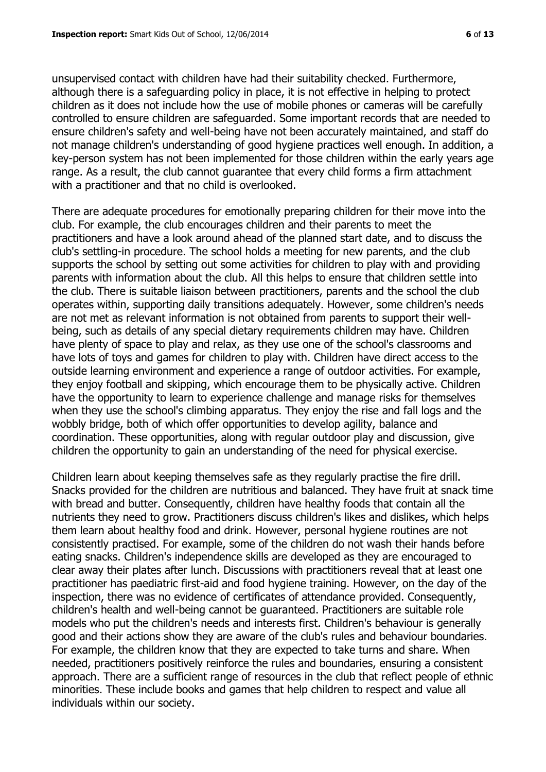unsupervised contact with children have had their suitability checked. Furthermore, although there is a safeguarding policy in place, it is not effective in helping to protect children as it does not include how the use of mobile phones or cameras will be carefully controlled to ensure children are safeguarded. Some important records that are needed to ensure children's safety and well-being have not been accurately maintained, and staff do not manage children's understanding of good hygiene practices well enough. In addition, a key-person system has not been implemented for those children within the early years age range. As a result, the club cannot guarantee that every child forms a firm attachment with a practitioner and that no child is overlooked.

There are adequate procedures for emotionally preparing children for their move into the club. For example, the club encourages children and their parents to meet the practitioners and have a look around ahead of the planned start date, and to discuss the club's settling-in procedure. The school holds a meeting for new parents, and the club supports the school by setting out some activities for children to play with and providing parents with information about the club. All this helps to ensure that children settle into the club. There is suitable liaison between practitioners, parents and the school the club operates within, supporting daily transitions adequately. However, some children's needs are not met as relevant information is not obtained from parents to support their wellbeing, such as details of any special dietary requirements children may have. Children have plenty of space to play and relax, as they use one of the school's classrooms and have lots of toys and games for children to play with. Children have direct access to the outside learning environment and experience a range of outdoor activities. For example, they enjoy football and skipping, which encourage them to be physically active. Children have the opportunity to learn to experience challenge and manage risks for themselves when they use the school's climbing apparatus. They enjoy the rise and fall logs and the wobbly bridge, both of which offer opportunities to develop agility, balance and coordination. These opportunities, along with regular outdoor play and discussion, give children the opportunity to gain an understanding of the need for physical exercise.

Children learn about keeping themselves safe as they regularly practise the fire drill. Snacks provided for the children are nutritious and balanced. They have fruit at snack time with bread and butter. Consequently, children have healthy foods that contain all the nutrients they need to grow. Practitioners discuss children's likes and dislikes, which helps them learn about healthy food and drink. However, personal hygiene routines are not consistently practised. For example, some of the children do not wash their hands before eating snacks. Children's independence skills are developed as they are encouraged to clear away their plates after lunch. Discussions with practitioners reveal that at least one practitioner has paediatric first-aid and food hygiene training. However, on the day of the inspection, there was no evidence of certificates of attendance provided. Consequently, children's health and well-being cannot be guaranteed. Practitioners are suitable role models who put the children's needs and interests first. Children's behaviour is generally good and their actions show they are aware of the club's rules and behaviour boundaries. For example, the children know that they are expected to take turns and share. When needed, practitioners positively reinforce the rules and boundaries, ensuring a consistent approach. There are a sufficient range of resources in the club that reflect people of ethnic minorities. These include books and games that help children to respect and value all individuals within our society.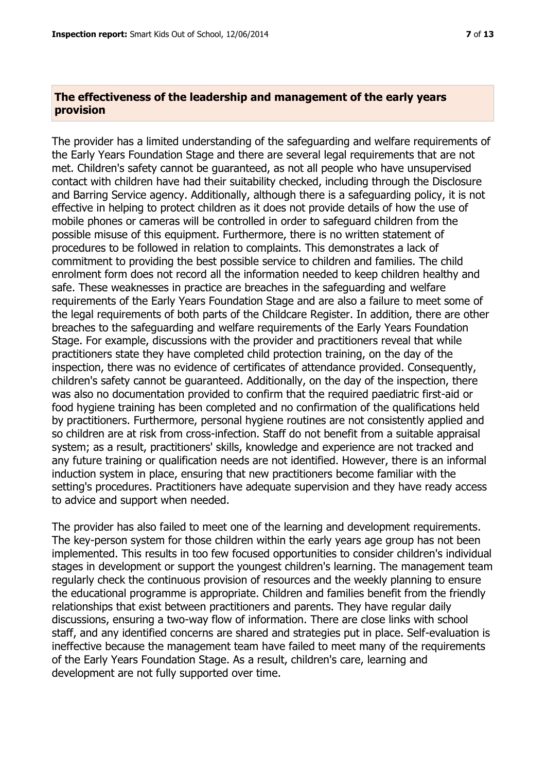#### **The effectiveness of the leadership and management of the early years provision**

The provider has a limited understanding of the safeguarding and welfare requirements of the Early Years Foundation Stage and there are several legal requirements that are not met. Children's safety cannot be guaranteed, as not all people who have unsupervised contact with children have had their suitability checked, including through the Disclosure and Barring Service agency. Additionally, although there is a safeguarding policy, it is not effective in helping to protect children as it does not provide details of how the use of mobile phones or cameras will be controlled in order to safeguard children from the possible misuse of this equipment. Furthermore, there is no written statement of procedures to be followed in relation to complaints. This demonstrates a lack of commitment to providing the best possible service to children and families. The child enrolment form does not record all the information needed to keep children healthy and safe. These weaknesses in practice are breaches in the safeguarding and welfare requirements of the Early Years Foundation Stage and are also a failure to meet some of the legal requirements of both parts of the Childcare Register. In addition, there are other breaches to the safeguarding and welfare requirements of the Early Years Foundation Stage. For example, discussions with the provider and practitioners reveal that while practitioners state they have completed child protection training, on the day of the inspection, there was no evidence of certificates of attendance provided. Consequently, children's safety cannot be guaranteed. Additionally, on the day of the inspection, there was also no documentation provided to confirm that the required paediatric first-aid or food hygiene training has been completed and no confirmation of the qualifications held by practitioners. Furthermore, personal hygiene routines are not consistently applied and so children are at risk from cross-infection. Staff do not benefit from a suitable appraisal system; as a result, practitioners' skills, knowledge and experience are not tracked and any future training or qualification needs are not identified. However, there is an informal induction system in place, ensuring that new practitioners become familiar with the setting's procedures. Practitioners have adequate supervision and they have ready access to advice and support when needed.

The provider has also failed to meet one of the learning and development requirements. The key-person system for those children within the early years age group has not been implemented. This results in too few focused opportunities to consider children's individual stages in development or support the youngest children's learning. The management team regularly check the continuous provision of resources and the weekly planning to ensure the educational programme is appropriate. Children and families benefit from the friendly relationships that exist between practitioners and parents. They have regular daily discussions, ensuring a two-way flow of information. There are close links with school staff, and any identified concerns are shared and strategies put in place. Self-evaluation is ineffective because the management team have failed to meet many of the requirements of the Early Years Foundation Stage. As a result, children's care, learning and development are not fully supported over time.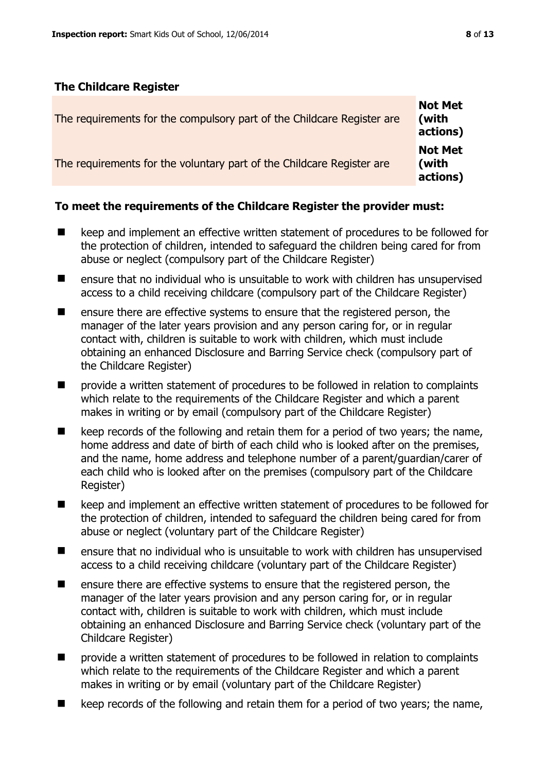# **The Childcare Register**

| The requirements for the compulsory part of the Childcare Register are | <b>Not Met</b><br>(with<br>actions) |
|------------------------------------------------------------------------|-------------------------------------|
| The requirements for the voluntary part of the Childcare Register are  | <b>Not Met</b><br>(with<br>actions) |

### **To meet the requirements of the Childcare Register the provider must:**

- keep and implement an effective written statement of procedures to be followed for the protection of children, intended to safeguard the children being cared for from abuse or neglect (compulsory part of the Childcare Register)
- ensure that no individual who is unsuitable to work with children has unsupervised access to a child receiving childcare (compulsory part of the Childcare Register)
- **E** ensure there are effective systems to ensure that the registered person, the manager of the later years provision and any person caring for, or in regular contact with, children is suitable to work with children, which must include obtaining an enhanced Disclosure and Barring Service check (compulsory part of the Childcare Register)
- provide a written statement of procedures to be followed in relation to complaints which relate to the requirements of the Childcare Register and which a parent makes in writing or by email (compulsory part of the Childcare Register)
- $\blacksquare$  keep records of the following and retain them for a period of two years; the name, home address and date of birth of each child who is looked after on the premises, and the name, home address and telephone number of a parent/guardian/carer of each child who is looked after on the premises (compulsory part of the Childcare Register)
- keep and implement an effective written statement of procedures to be followed for the protection of children, intended to safeguard the children being cared for from abuse or neglect (voluntary part of the Childcare Register)
- ensure that no individual who is unsuitable to work with children has unsupervised access to a child receiving childcare (voluntary part of the Childcare Register)
- ensure there are effective systems to ensure that the registered person, the manager of the later years provision and any person caring for, or in regular contact with, children is suitable to work with children, which must include obtaining an enhanced Disclosure and Barring Service check (voluntary part of the Childcare Register)
- provide a written statement of procedures to be followed in relation to complaints which relate to the requirements of the Childcare Register and which a parent makes in writing or by email (voluntary part of the Childcare Register)
- $\blacksquare$  keep records of the following and retain them for a period of two years; the name,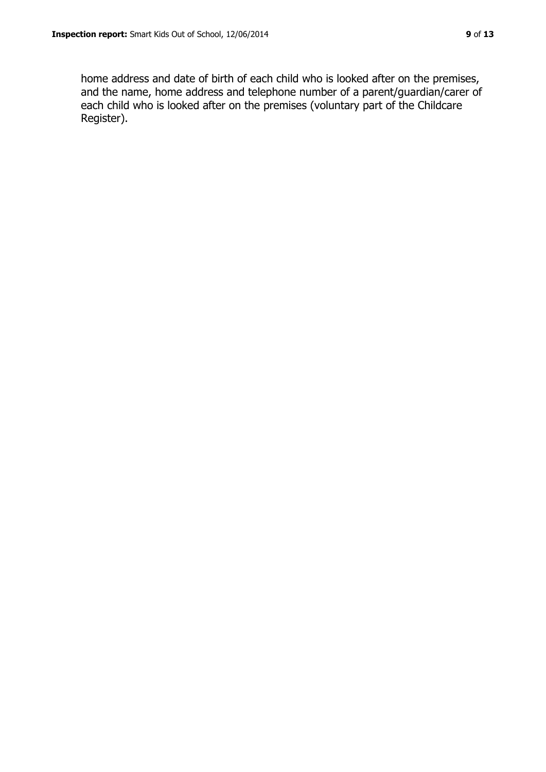home address and date of birth of each child who is looked after on the premises, and the name, home address and telephone number of a parent/guardian/carer of each child who is looked after on the premises (voluntary part of the Childcare Register).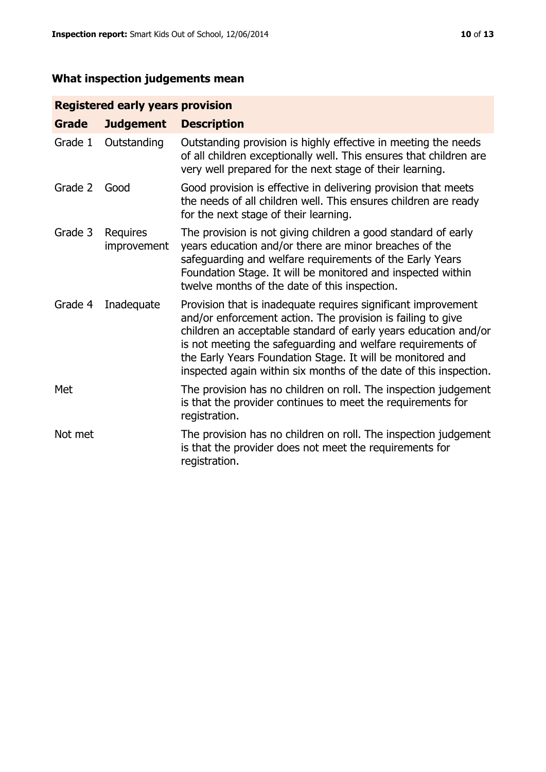# **What inspection judgements mean**

# **Registered early years provision**

| <b>Grade</b> | <b>Judgement</b>        | <b>Description</b>                                                                                                                                                                                                                                                                                                                                                                                |
|--------------|-------------------------|---------------------------------------------------------------------------------------------------------------------------------------------------------------------------------------------------------------------------------------------------------------------------------------------------------------------------------------------------------------------------------------------------|
| Grade 1      | Outstanding             | Outstanding provision is highly effective in meeting the needs<br>of all children exceptionally well. This ensures that children are<br>very well prepared for the next stage of their learning.                                                                                                                                                                                                  |
| Grade 2      | Good                    | Good provision is effective in delivering provision that meets<br>the needs of all children well. This ensures children are ready<br>for the next stage of their learning.                                                                                                                                                                                                                        |
| Grade 3      | Requires<br>improvement | The provision is not giving children a good standard of early<br>years education and/or there are minor breaches of the<br>safeguarding and welfare requirements of the Early Years<br>Foundation Stage. It will be monitored and inspected within<br>twelve months of the date of this inspection.                                                                                               |
| Grade 4      | Inadequate              | Provision that is inadequate requires significant improvement<br>and/or enforcement action. The provision is failing to give<br>children an acceptable standard of early years education and/or<br>is not meeting the safeguarding and welfare requirements of<br>the Early Years Foundation Stage. It will be monitored and<br>inspected again within six months of the date of this inspection. |
| Met          |                         | The provision has no children on roll. The inspection judgement<br>is that the provider continues to meet the requirements for<br>registration.                                                                                                                                                                                                                                                   |
| Not met      |                         | The provision has no children on roll. The inspection judgement<br>is that the provider does not meet the requirements for<br>registration.                                                                                                                                                                                                                                                       |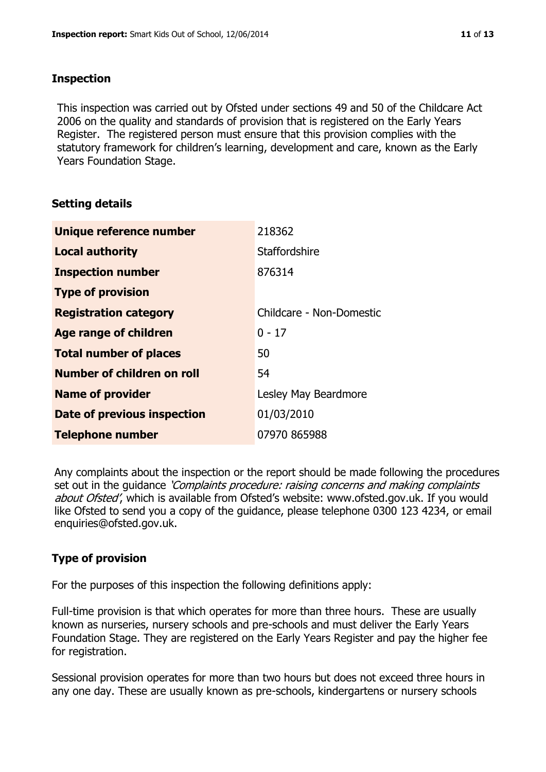#### **Inspection**

This inspection was carried out by Ofsted under sections 49 and 50 of the Childcare Act 2006 on the quality and standards of provision that is registered on the Early Years Register. The registered person must ensure that this provision complies with the statutory framework for children's learning, development and care, known as the Early Years Foundation Stage.

### **Setting details**

| Unique reference number       | 218362                   |
|-------------------------------|--------------------------|
| <b>Local authority</b>        | Staffordshire            |
| <b>Inspection number</b>      | 876314                   |
| <b>Type of provision</b>      |                          |
| <b>Registration category</b>  | Childcare - Non-Domestic |
| <b>Age range of children</b>  | $0 - 17$                 |
| <b>Total number of places</b> | 50                       |
| Number of children on roll    | 54                       |
| <b>Name of provider</b>       | Lesley May Beardmore     |
| Date of previous inspection   | 01/03/2010               |
| <b>Telephone number</b>       | 07970 865988             |

Any complaints about the inspection or the report should be made following the procedures set out in the guidance *'Complaints procedure: raising concerns and making complaints* about Ofsted', which is available from Ofsted's website: www.ofsted.gov.uk. If you would like Ofsted to send you a copy of the guidance, please telephone 0300 123 4234, or email enquiries@ofsted.gov.uk.

### **Type of provision**

For the purposes of this inspection the following definitions apply:

Full-time provision is that which operates for more than three hours. These are usually known as nurseries, nursery schools and pre-schools and must deliver the Early Years Foundation Stage. They are registered on the Early Years Register and pay the higher fee for registration.

Sessional provision operates for more than two hours but does not exceed three hours in any one day. These are usually known as pre-schools, kindergartens or nursery schools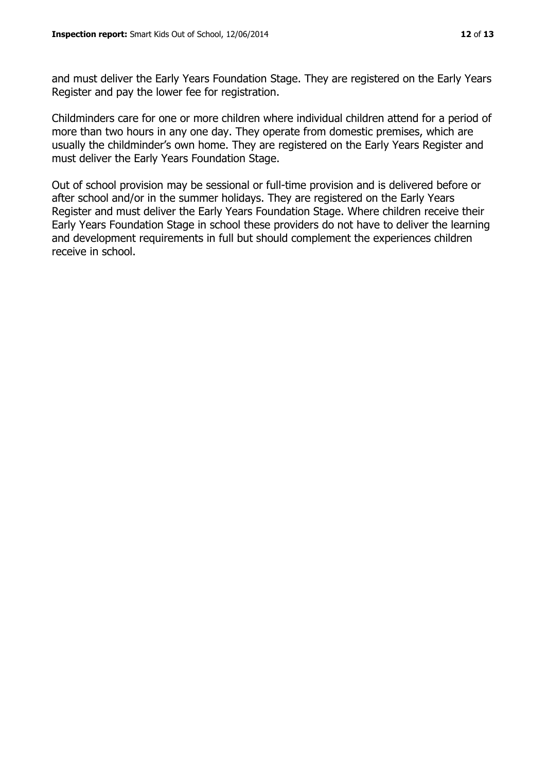and must deliver the Early Years Foundation Stage. They are registered on the Early Years Register and pay the lower fee for registration.

Childminders care for one or more children where individual children attend for a period of more than two hours in any one day. They operate from domestic premises, which are usually the childminder's own home. They are registered on the Early Years Register and must deliver the Early Years Foundation Stage.

Out of school provision may be sessional or full-time provision and is delivered before or after school and/or in the summer holidays. They are registered on the Early Years Register and must deliver the Early Years Foundation Stage. Where children receive their Early Years Foundation Stage in school these providers do not have to deliver the learning and development requirements in full but should complement the experiences children receive in school.